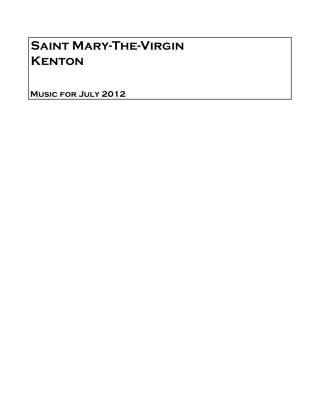# Saint Mary-The-Virgin **KENTON**

Music for July 2012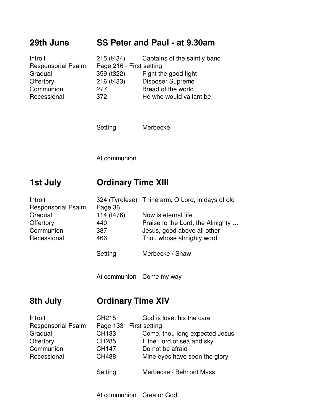#### **29th June SS Peter and Paul - at 9.30am**

| Introit                   | 215 (t434)               | Captains of the saintly band |
|---------------------------|--------------------------|------------------------------|
| <b>Responsorial Psalm</b> | Page 216 - First setting |                              |
| Gradual                   | 359 (t322)               | Fight the good fight         |
| Offertory                 | 216 (t433)               | Disposer Supreme             |
| Communion                 | 277                      | Bread of the world           |
| Recessional               | 372                      | He who would valiant be      |

Setting Merbecke

At communion

## **1st July Ordinary Time XIII**

| Introit                   |            | 324 (Tyrolese) Thine arm, O Lord, in days of old |
|---------------------------|------------|--------------------------------------------------|
| <b>Responsorial Psalm</b> | Page 36    |                                                  |
| Gradual                   | 114 (t476) | Now is eternal life.                             |
| Offertory                 | 440        | Praise to the Lord, the Almighty                 |
| Communion                 | 387        | Jesus, good above all other                      |
| Recessional               | 466        | Thou whose almighty word                         |
|                           | Setting    | Merbecke / Shaw                                  |

At communion Come my way

# **8th July Ordinary Time XIV**

| Introit                   | CH <sub>215</sub>        | God is love: his the care      |
|---------------------------|--------------------------|--------------------------------|
| <b>Responsorial Psalm</b> | Page 133 - First setting |                                |
| Gradual                   | CH133                    | Come, thou long expected Jesus |
| Offertory                 | <b>CH285</b>             | I, the Lord of sea and sky     |
| Communion                 | <b>CH147</b>             | Do not be afraid               |
| Recessional               | <b>CH488</b>             | Mine eyes have seen the glory  |
|                           |                          |                                |
|                           | Setting                  | Merbecke / Belmont Mass        |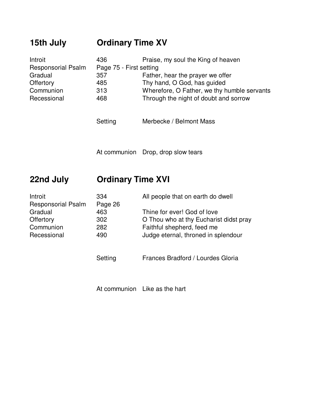# **15th July Ordinary Time XV**

| Introit                   | 436                     | Praise, my soul the King of heaven          |
|---------------------------|-------------------------|---------------------------------------------|
| <b>Responsorial Psalm</b> | Page 75 - First setting |                                             |
| Gradual                   | 357                     | Father, hear the prayer we offer            |
| Offertory                 | 485                     | Thy hand, O God, has guided                 |
| Communion                 | 313                     | Wherefore, O Father, we thy humble servants |
| Recessional               | 468                     | Through the night of doubt and sorrow       |

Setting Merbecke / Belmont Mass

At communion Drop, drop slow tears

## **22nd July Ordinary Time XVI**

| 334     | All people that on earth do dwell      |
|---------|----------------------------------------|
| Page 26 |                                        |
| 463     | Thine for ever! God of love            |
| 302     | O Thou who at thy Eucharist didst pray |
| 282     | Faithful shepherd, feed me             |
| 490     | Judge eternal, throned in splendour    |
|         |                                        |

Setting Frances Bradford / Lourdes Gloria

At communion Like as the hart